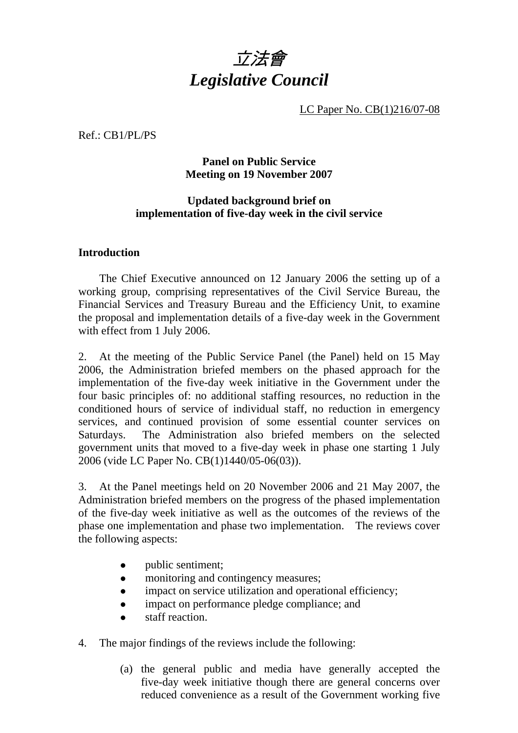

LC Paper No. CB(1)216/07-08

Ref.: CB1/PL/PS

## **Panel on Public Service Meeting on 19 November 2007**

## **Updated background brief on implementation of five-day week in the civil service**

## **Introduction**

The Chief Executive announced on 12 January 2006 the setting up of a working group, comprising representatives of the Civil Service Bureau, the Financial Services and Treasury Bureau and the Efficiency Unit, to examine the proposal and implementation details of a five-day week in the Government with effect from 1 July 2006.

2. At the meeting of the Public Service Panel (the Panel) held on 15 May 2006, the Administration briefed members on the phased approach for the implementation of the five-day week initiative in the Government under the four basic principles of: no additional staffing resources, no reduction in the conditioned hours of service of individual staff, no reduction in emergency services, and continued provision of some essential counter services on Saturdays. The Administration also briefed members on the selected government units that moved to a five-day week in phase one starting 1 July 2006 (vide LC Paper No. CB(1)1440/05-06(03)).

3. At the Panel meetings held on 20 November 2006 and 21 May 2007, the Administration briefed members on the progress of the phased implementation of the five-day week initiative as well as the outcomes of the reviews of the phase one implementation and phase two implementation. The reviews cover the following aspects:

- public sentiment;
- monitoring and contingency measures;
- impact on service utilization and operational efficiency;
- impact on performance pledge compliance; and
- staff reaction.
- 4. The major findings of the reviews include the following:
	- (a) the general public and media have generally accepted the five-day week initiative though there are general concerns over reduced convenience as a result of the Government working five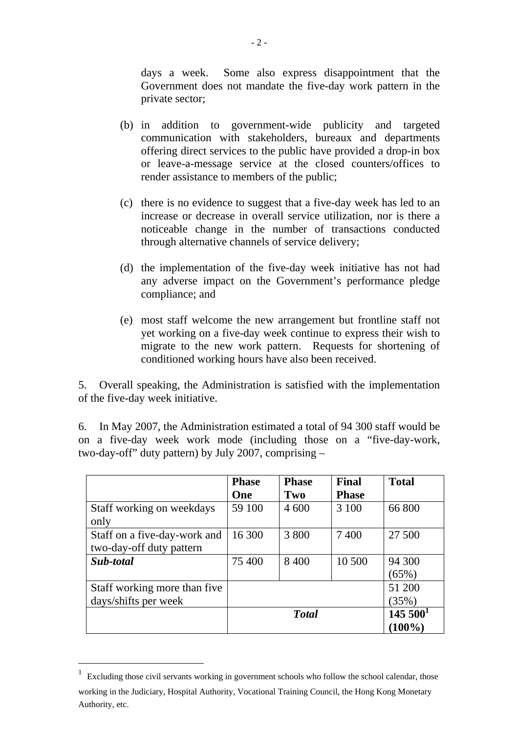days a week. Some also express disappointment that the Government does not mandate the five-day work pattern in the private sector;

- (b) in addition to government-wide publicity and targeted communication with stakeholders, bureaux and departments offering direct services to the public have provided a drop-in box or leave-a-message service at the closed counters/offices to render assistance to members of the public;
- (c) there is no evidence to suggest that a five-day week has led to an increase or decrease in overall service utilization, nor is there a noticeable change in the number of transactions conducted through alternative channels of service delivery;
- (d) the implementation of the five-day week initiative has not had any adverse impact on the Government's performance pledge compliance; and
- (e) most staff welcome the new arrangement but frontline staff not yet working on a five-day week continue to express their wish to migrate to the new work pattern. Requests for shortening of conditioned working hours have also been received.

5. Overall speaking, the Administration is satisfied with the implementation of the five-day week initiative.

6. In May 2007, the Administration estimated a total of 94 300 staff would be on a five-day week work mode (including those on a "five-day-work, two-day-off" duty pattern) by July 2007, comprising –

|                              | <b>Phase</b> | <b>Phase</b> | <b>Final</b> | <b>Total</b> |
|------------------------------|--------------|--------------|--------------|--------------|
|                              | One          | Two          | <b>Phase</b> |              |
| Staff working on weekdays    | 59 100       | 4 600        | 3 100        | 66 800       |
| only                         |              |              |              |              |
| Staff on a five-day-work and | 16 300       | 3 800        | 7400         | 27 500       |
| two-day-off duty pattern     |              |              |              |              |
| Sub-total                    | 75 400       | 8 4 0 0      | 10 500       | 94 300       |
|                              |              |              |              | (65%)        |
| Staff working more than five |              |              |              | 51 200       |
| days/shifts per week         |              |              |              | (35%)        |
|                              | <b>Total</b> |              |              | $145\,500^1$ |
|                              |              |              |              | $(100\%)$    |

 $1$  Excluding those civil servants working in government schools who follow the school calendar, those working in the Judiciary, Hospital Authority, Vocational Training Council, the Hong Kong Monetary Authority, etc.

 $\overline{a}$